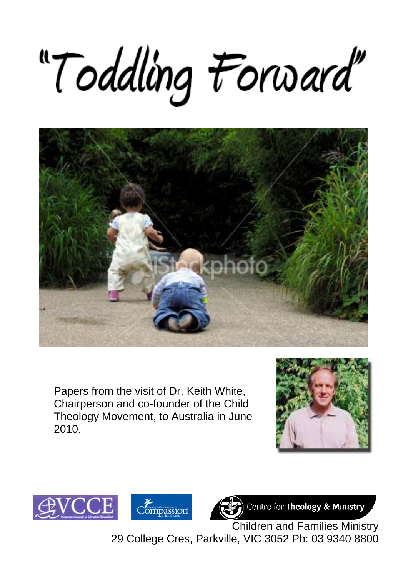# "Toddling Forward"



Papers from the visit of Dr. Keith White, Chairperson and co-founder of the Child Theology Movement, to Australia in June 2010.







Centre for Theology & Ministry

*Compassion* **Compassion**<br>**Children and Families Ministry** 29 College Cres, Parkville, VIC 3052 Ph: 03 9340 8800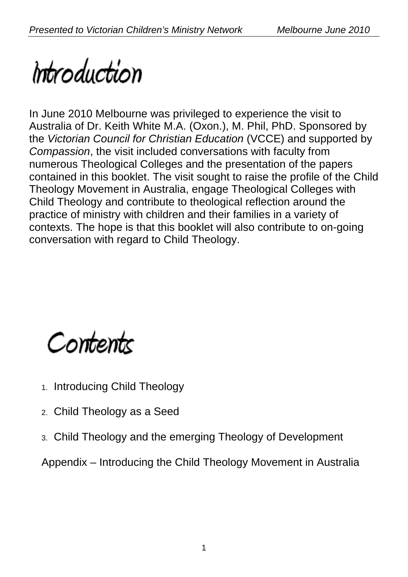

In June 2010 Melbourne was privileged to experience the visit to Australia of Dr. Keith White M.A. (Oxon.), M. Phil, PhD. Sponsored by the *Victorian Council for Christian Education* (VCCE) and supported by *Compassion*, the visit included conversations with faculty from numerous Theological Colleges and the presentation of the papers contained in this booklet. The visit sought to raise the profile of the Child Theology Movement in Australia, engage Theological Colleges with Child Theology and contribute to theological reflection around the practice of ministry with children and their families in a variety of contexts. The hope is that this booklet will also contribute to on-going conversation with regard to Child Theology.

Contents

- 1. Introducing Child Theology
- 2. Child Theology as a Seed
- 3. Child Theology and the emerging Theology of Development

Appendix – Introducing the Child Theology Movement in Australia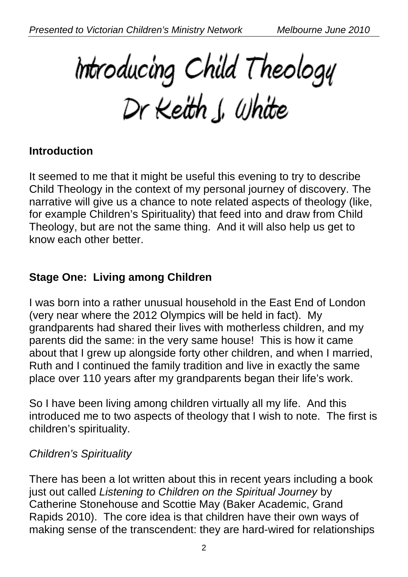Introducing Child Theology<br>Dr Keith J. White

# **Introduction**

It seemed to me that it might be useful this evening to try to describe Child Theology in the context of my personal journey of discovery. The narrative will give us a chance to note related aspects of theology (like, for example Children's Spirituality) that feed into and draw from Child Theology, but are not the same thing. And it will also help us get to know each other better.

# **Stage One: Living among Children**

I was born into a rather unusual household in the East End of London (very near where the 2012 Olympics will be held in fact). My grandparents had shared their lives with motherless children, and my parents did the same: in the very same house! This is how it came about that I grew up alongside forty other children, and when I married, Ruth and I continued the family tradition and live in exactly the same place over 110 years after my grandparents began their life's work.

So I have been living among children virtually all my life. And this introduced me to two aspects of theology that I wish to note. The first is children's spirituality.

#### *Children's Spirituality*

There has been a lot written about this in recent years including a book just out called *Listening to Children on the Spiritual Journey* by Catherine Stonehouse and Scottie May (Baker Academic, Grand Rapids 2010). The core idea is that children have their own ways of making sense of the transcendent: they are hard-wired for relationships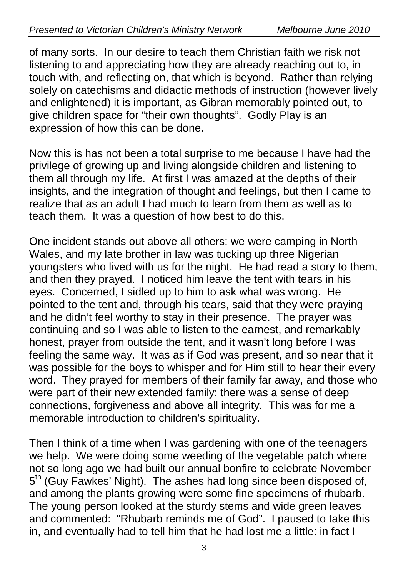of many sorts. In our desire to teach them Christian faith we risk not listening to and appreciating how they are already reaching out to, in touch with, and reflecting on, that which is beyond. Rather than relying solely on catechisms and didactic methods of instruction (however lively and enlightened) it is important, as Gibran memorably pointed out, to give children space for "their own thoughts". Godly Play is an expression of how this can be done.

Now this is has not been a total surprise to me because I have had the privilege of growing up and living alongside children and listening to them all through my life. At first I was amazed at the depths of their insights, and the integration of thought and feelings, but then I came to realize that as an adult I had much to learn from them as well as to teach them. It was a question of how best to do this.

One incident stands out above all others: we were camping in North Wales, and my late brother in law was tucking up three Nigerian youngsters who lived with us for the night. He had read a story to them, and then they prayed. I noticed him leave the tent with tears in his eyes. Concerned, I sidled up to him to ask what was wrong. He pointed to the tent and, through his tears, said that they were praying and he didn't feel worthy to stay in their presence. The prayer was continuing and so I was able to listen to the earnest, and remarkably honest, prayer from outside the tent, and it wasn't long before I was feeling the same way. It was as if God was present, and so near that it was possible for the boys to whisper and for Him still to hear their every word. They prayed for members of their family far away, and those who were part of their new extended family: there was a sense of deep connections, forgiveness and above all integrity. This was for me a memorable introduction to children's spirituality.

Then I think of a time when I was gardening with one of the teenagers we help. We were doing some weeding of the vegetable patch where not so long ago we had built our annual bonfire to celebrate November 5th (Guy Fawkes' Night). The ashes had long since been disposed of, and among the plants growing were some fine specimens of rhubarb. The young person looked at the sturdy stems and wide green leaves and commented: "Rhubarb reminds me of God". I paused to take this in, and eventually had to tell him that he had lost me a little: in fact I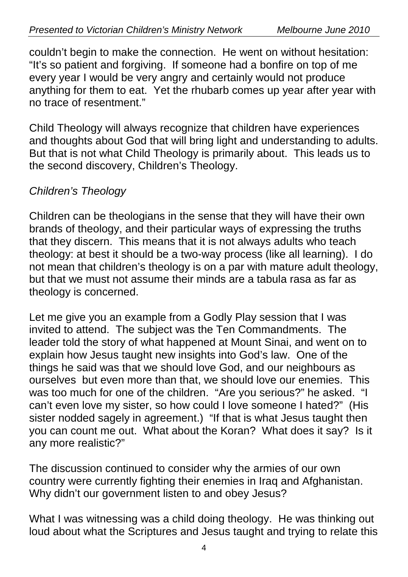couldn't begin to make the connection. He went on without hesitation: "It's so patient and forgiving. If someone had a bonfire on top of me every year I would be very angry and certainly would not produce anything for them to eat. Yet the rhubarb comes up year after year with no trace of resentment."

Child Theology will always recognize that children have experiences and thoughts about God that will bring light and understanding to adults. But that is not what Child Theology is primarily about. This leads us to the second discovery, Children's Theology.

# *Children's Theology*

Children can be theologians in the sense that they will have their own brands of theology, and their particular ways of expressing the truths that they discern. This means that it is not always adults who teach theology: at best it should be a two-way process (like all learning). I do not mean that children's theology is on a par with mature adult theology, but that we must not assume their minds are a tabula rasa as far as theology is concerned.

Let me give you an example from a Godly Play session that I was invited to attend. The subject was the Ten Commandments. The leader told the story of what happened at Mount Sinai, and went on to explain how Jesus taught new insights into God's law. One of the things he said was that we should love God, and our neighbours as ourselves but even more than that, we should love our enemies. This was too much for one of the children. "Are you serious?" he asked. "I can't even love my sister, so how could I love someone I hated?" (His sister nodded sagely in agreement.) "If that is what Jesus taught then you can count me out. What about the Koran? What does it say? Is it any more realistic?"

The discussion continued to consider why the armies of our own country were currently fighting their enemies in Iraq and Afghanistan. Why didn't our government listen to and obey Jesus?

What I was witnessing was a child doing theology. He was thinking out loud about what the Scriptures and Jesus taught and trying to relate this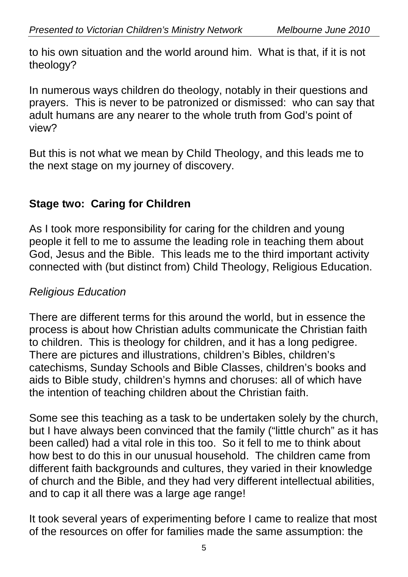to his own situation and the world around him. What is that, if it is not theology?

In numerous ways children do theology, notably in their questions and prayers. This is never to be patronized or dismissed: who can say that adult humans are any nearer to the whole truth from God's point of view?

But this is not what we mean by Child Theology, and this leads me to the next stage on my journey of discovery.

# **Stage two: Caring for Children**

As I took more responsibility for caring for the children and young people it fell to me to assume the leading role in teaching them about God, Jesus and the Bible. This leads me to the third important activity connected with (but distinct from) Child Theology, Religious Education.

#### *Religious Education*

There are different terms for this around the world, but in essence the process is about how Christian adults communicate the Christian faith to children. This is theology for children, and it has a long pedigree. There are pictures and illustrations, children's Bibles, children's catechisms, Sunday Schools and Bible Classes, children's books and aids to Bible study, children's hymns and choruses: all of which have the intention of teaching children about the Christian faith.

Some see this teaching as a task to be undertaken solely by the church, but I have always been convinced that the family ("little church" as it has been called) had a vital role in this too. So it fell to me to think about how best to do this in our unusual household. The children came from different faith backgrounds and cultures, they varied in their knowledge of church and the Bible, and they had very different intellectual abilities, and to cap it all there was a large age range!

It took several years of experimenting before I came to realize that most of the resources on offer for families made the same assumption: the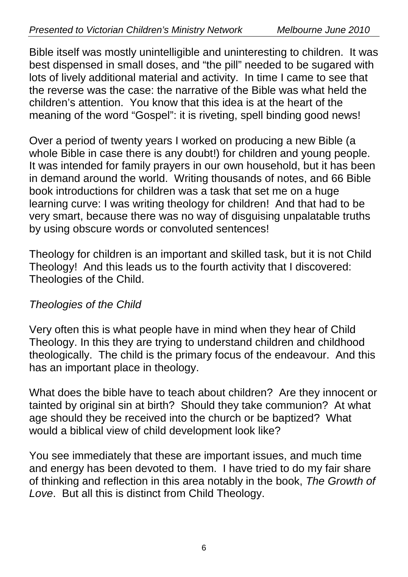Bible itself was mostly unintelligible and uninteresting to children. It was best dispensed in small doses, and "the pill" needed to be sugared with lots of lively additional material and activity. In time I came to see that the reverse was the case: the narrative of the Bible was what held the children's attention. You know that this idea is at the heart of the meaning of the word "Gospel": it is riveting, spell binding good news!

Over a period of twenty years I worked on producing a new Bible (a whole Bible in case there is any doubt!) for children and young people. It was intended for family prayers in our own household, but it has been in demand around the world. Writing thousands of notes, and 66 Bible book introductions for children was a task that set me on a huge learning curve: I was writing theology for children! And that had to be very smart, because there was no way of disguising unpalatable truths by using obscure words or convoluted sentences!

Theology for children is an important and skilled task, but it is not Child Theology! And this leads us to the fourth activity that I discovered: Theologies of the Child.

# *Theologies of the Child*

Very often this is what people have in mind when they hear of Child Theology. In this they are trying to understand children and childhood theologically. The child is the primary focus of the endeavour. And this has an important place in theology.

What does the bible have to teach about children? Are they innocent or tainted by original sin at birth? Should they take communion? At what age should they be received into the church or be baptized? What would a biblical view of child development look like?

You see immediately that these are important issues, and much time and energy has been devoted to them. I have tried to do my fair share of thinking and reflection in this area notably in the book, *The Growth of Love*. But all this is distinct from Child Theology.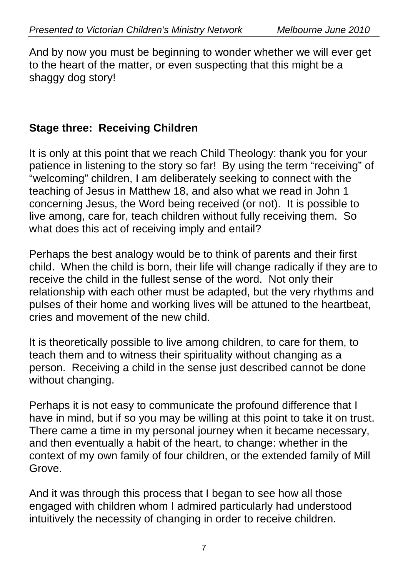And by now you must be beginning to wonder whether we will ever get to the heart of the matter, or even suspecting that this might be a shaggy dog story!

# **Stage three: Receiving Children**

It is only at this point that we reach Child Theology: thank you for your patience in listening to the story so far! By using the term "receiving" of "welcoming" children, I am deliberately seeking to connect with the teaching of Jesus in Matthew 18, and also what we read in John 1 concerning Jesus, the Word being received (or not). It is possible to live among, care for, teach children without fully receiving them. So what does this act of receiving imply and entail?

Perhaps the best analogy would be to think of parents and their first child. When the child is born, their life will change radically if they are to receive the child in the fullest sense of the word. Not only their relationship with each other must be adapted, but the very rhythms and pulses of their home and working lives will be attuned to the heartbeat, cries and movement of the new child.

It is theoretically possible to live among children, to care for them, to teach them and to witness their spirituality without changing as a person. Receiving a child in the sense just described cannot be done without changing.

Perhaps it is not easy to communicate the profound difference that I have in mind, but if so you may be willing at this point to take it on trust. There came a time in my personal journey when it became necessary, and then eventually a habit of the heart, to change: whether in the context of my own family of four children, or the extended family of Mill Grove.

And it was through this process that I began to see how all those engaged with children whom I admired particularly had understood intuitively the necessity of changing in order to receive children.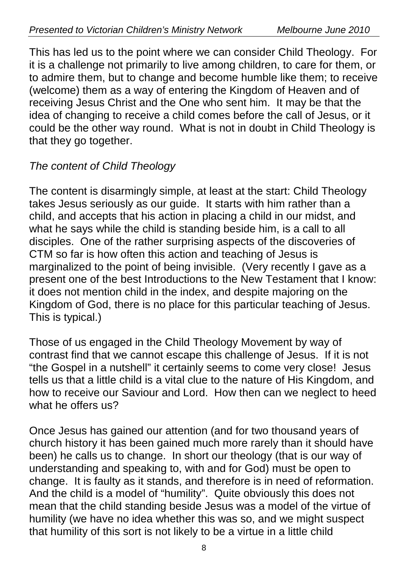This has led us to the point where we can consider Child Theology. For it is a challenge not primarily to live among children, to care for them, or to admire them, but to change and become humble like them; to receive (welcome) them as a way of entering the Kingdom of Heaven and of receiving Jesus Christ and the One who sent him. It may be that the idea of changing to receive a child comes before the call of Jesus, or it could be the other way round. What is not in doubt in Child Theology is that they go together.

# *The content of Child Theology*

The content is disarmingly simple, at least at the start: Child Theology takes Jesus seriously as our guide. It starts with him rather than a child, and accepts that his action in placing a child in our midst, and what he says while the child is standing beside him, is a call to all disciples. One of the rather surprising aspects of the discoveries of CTM so far is how often this action and teaching of Jesus is marginalized to the point of being invisible. (Very recently I gave as a present one of the best Introductions to the New Testament that I know: it does not mention child in the index, and despite majoring on the Kingdom of God, there is no place for this particular teaching of Jesus. This is typical.)

Those of us engaged in the Child Theology Movement by way of contrast find that we cannot escape this challenge of Jesus. If it is not "the Gospel in a nutshell" it certainly seems to come very close! Jesus tells us that a little child is a vital clue to the nature of His Kingdom, and how to receive our Saviour and Lord. How then can we neglect to heed what he offers us?

Once Jesus has gained our attention (and for two thousand years of church history it has been gained much more rarely than it should have been) he calls us to change. In short our theology (that is our way of understanding and speaking to, with and for God) must be open to change. It is faulty as it stands, and therefore is in need of reformation. And the child is a model of "humility". Quite obviously this does not mean that the child standing beside Jesus was a model of the virtue of humility (we have no idea whether this was so, and we might suspect that humility of this sort is not likely to be a virtue in a little child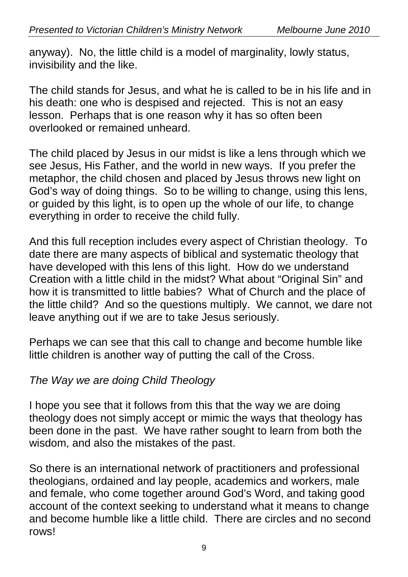anyway). No, the little child is a model of marginality, lowly status, invisibility and the like.

The child stands for Jesus, and what he is called to be in his life and in his death: one who is despised and rejected. This is not an easy lesson. Perhaps that is one reason why it has so often been overlooked or remained unheard.

The child placed by Jesus in our midst is like a lens through which we see Jesus, His Father, and the world in new ways. If you prefer the metaphor, the child chosen and placed by Jesus throws new light on God's way of doing things. So to be willing to change, using this lens, or guided by this light, is to open up the whole of our life, to change everything in order to receive the child fully.

And this full reception includes every aspect of Christian theology. To date there are many aspects of biblical and systematic theology that have developed with this lens of this light. How do we understand Creation with a little child in the midst? What about "Original Sin" and how it is transmitted to little babies? What of Church and the place of the little child? And so the questions multiply. We cannot, we dare not leave anything out if we are to take Jesus seriously.

Perhaps we can see that this call to change and become humble like little children is another way of putting the call of the Cross.

# *The Way we are doing Child Theology*

I hope you see that it follows from this that the way we are doing theology does not simply accept or mimic the ways that theology has been done in the past. We have rather sought to learn from both the wisdom, and also the mistakes of the past.

So there is an international network of practitioners and professional theologians, ordained and lay people, academics and workers, male and female, who come together around God's Word, and taking good account of the context seeking to understand what it means to change and become humble like a little child. There are circles and no second rows!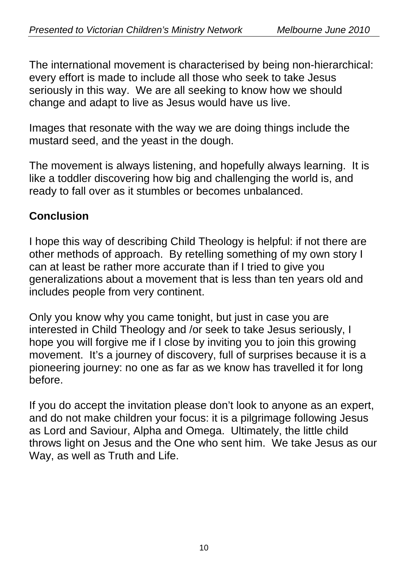The international movement is characterised by being non-hierarchical: every effort is made to include all those who seek to take Jesus seriously in this way. We are all seeking to know how we should change and adapt to live as Jesus would have us live.

Images that resonate with the way we are doing things include the mustard seed, and the yeast in the dough.

The movement is always listening, and hopefully always learning. It is like a toddler discovering how big and challenging the world is, and ready to fall over as it stumbles or becomes unbalanced.

# **Conclusion**

I hope this way of describing Child Theology is helpful: if not there are other methods of approach. By retelling something of my own story I can at least be rather more accurate than if I tried to give you generalizations about a movement that is less than ten years old and includes people from very continent.

Only you know why you came tonight, but just in case you are interested in Child Theology and /or seek to take Jesus seriously, I hope you will forgive me if I close by inviting you to join this growing movement. It's a journey of discovery, full of surprises because it is a pioneering journey: no one as far as we know has travelled it for long before.

If you do accept the invitation please don't look to anyone as an expert, and do not make children your focus: it is a pilgrimage following Jesus as Lord and Saviour, Alpha and Omega. Ultimately, the little child throws light on Jesus and the One who sent him. We take Jesus as our Way, as well as Truth and Life.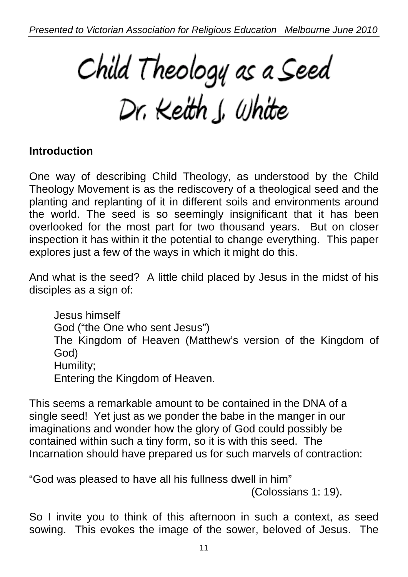Child Theology as a Seed<br>Dr. Keith J. White

#### **Introduction**

One way of describing Child Theology, as understood by the Child Theology Movement is as the rediscovery of a theological seed and the planting and replanting of it in different soils and environments around the world. The seed is so seemingly insignificant that it has been overlooked for the most part for two thousand years. But on closer inspection it has within it the potential to change everything. This paper explores just a few of the ways in which it might do this.

And what is the seed? A little child placed by Jesus in the midst of his disciples as a sign of:

Jesus himself God ("the One who sent Jesus") The Kingdom of Heaven (Matthew's version of the Kingdom of God) Humility; Entering the Kingdom of Heaven.

This seems a remarkable amount to be contained in the DNA of a single seed! Yet just as we ponder the babe in the manger in our imaginations and wonder how the glory of God could possibly be contained within such a tiny form, so it is with this seed. The Incarnation should have prepared us for such marvels of contraction:

"God was pleased to have all his fullness dwell in him"

(Colossians 1: 19).

So I invite you to think of this afternoon in such a context, as seed sowing. This evokes the image of the sower, beloved of Jesus. The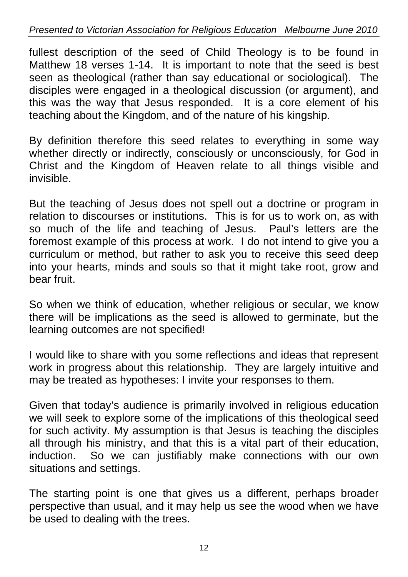fullest description of the seed of Child Theology is to be found in Matthew 18 verses 1-14. It is important to note that the seed is best seen as theological (rather than say educational or sociological). The disciples were engaged in a theological discussion (or argument), and this was the way that Jesus responded. It is a core element of his teaching about the Kingdom, and of the nature of his kingship.

By definition therefore this seed relates to everything in some way whether directly or indirectly, consciously or unconsciously, for God in Christ and the Kingdom of Heaven relate to all things visible and invisible.

But the teaching of Jesus does not spell out a doctrine or program in relation to discourses or institutions. This is for us to work on, as with so much of the life and teaching of Jesus. Paul's letters are the foremost example of this process at work. I do not intend to give you a curriculum or method, but rather to ask you to receive this seed deep into your hearts, minds and souls so that it might take root, grow and bear fruit.

So when we think of education, whether religious or secular, we know there will be implications as the seed is allowed to germinate, but the learning outcomes are not specified!

I would like to share with you some reflections and ideas that represent work in progress about this relationship. They are largely intuitive and may be treated as hypotheses: I invite your responses to them.

Given that today's audience is primarily involved in religious education we will seek to explore some of the implications of this theological seed for such activity. My assumption is that Jesus is teaching the disciples all through his ministry, and that this is a vital part of their education, induction. So we can justifiably make connections with our own situations and settings.

The starting point is one that gives us a different, perhaps broader perspective than usual, and it may help us see the wood when we have be used to dealing with the trees.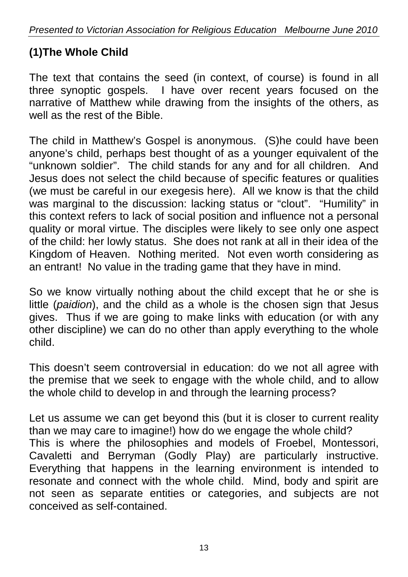# **(1)The Whole Child**

The text that contains the seed (in context, of course) is found in all three synoptic gospels. I have over recent years focused on the narrative of Matthew while drawing from the insights of the others, as well as the rest of the Bible.

The child in Matthew's Gospel is anonymous. (S)he could have been anyone's child, perhaps best thought of as a younger equivalent of the "unknown soldier". The child stands for any and for all children. And Jesus does not select the child because of specific features or qualities (we must be careful in our exegesis here). All we know is that the child was marginal to the discussion: lacking status or "clout". "Humility" in this context refers to lack of social position and influence not a personal quality or moral virtue. The disciples were likely to see only one aspect of the child: her lowly status. She does not rank at all in their idea of the Kingdom of Heaven. Nothing merited. Not even worth considering as an entrant! No value in the trading game that they have in mind.

So we know virtually nothing about the child except that he or she is little (*paidion*), and the child as a whole is the chosen sign that Jesus gives. Thus if we are going to make links with education (or with any other discipline) we can do no other than apply everything to the whole child.

This doesn't seem controversial in education: do we not all agree with the premise that we seek to engage with the whole child, and to allow the whole child to develop in and through the learning process?

Let us assume we can get beyond this (but it is closer to current reality than we may care to imagine!) how do we engage the whole child? This is where the philosophies and models of Froebel, Montessori, Cavaletti and Berryman (Godly Play) are particularly instructive. Everything that happens in the learning environment is intended to resonate and connect with the whole child. Mind, body and spirit are not seen as separate entities or categories, and subjects are not conceived as self-contained.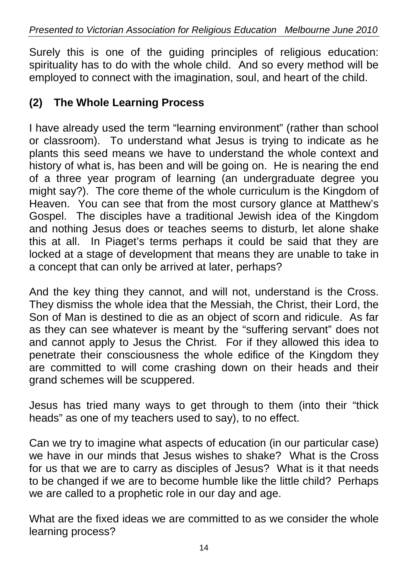Surely this is one of the guiding principles of religious education: spirituality has to do with the whole child. And so every method will be employed to connect with the imagination, soul, and heart of the child.

# **(2) The Whole Learning Process**

I have already used the term "learning environment" (rather than school or classroom). To understand what Jesus is trying to indicate as he plants this seed means we have to understand the whole context and history of what is, has been and will be going on. He is nearing the end of a three year program of learning (an undergraduate degree you might say?). The core theme of the whole curriculum is the Kingdom of Heaven. You can see that from the most cursory glance at Matthew's Gospel. The disciples have a traditional Jewish idea of the Kingdom and nothing Jesus does or teaches seems to disturb, let alone shake this at all. In Piaget's terms perhaps it could be said that they are locked at a stage of development that means they are unable to take in a concept that can only be arrived at later, perhaps?

And the key thing they cannot, and will not, understand is the Cross. They dismiss the whole idea that the Messiah, the Christ, their Lord, the Son of Man is destined to die as an object of scorn and ridicule. As far as they can see whatever is meant by the "suffering servant" does not and cannot apply to Jesus the Christ. For if they allowed this idea to penetrate their consciousness the whole edifice of the Kingdom they are committed to will come crashing down on their heads and their grand schemes will be scuppered.

Jesus has tried many ways to get through to them (into their "thick heads" as one of my teachers used to say), to no effect.

Can we try to imagine what aspects of education (in our particular case) we have in our minds that Jesus wishes to shake? What is the Cross for us that we are to carry as disciples of Jesus? What is it that needs to be changed if we are to become humble like the little child? Perhaps we are called to a prophetic role in our day and age.

What are the fixed ideas we are committed to as we consider the whole learning process?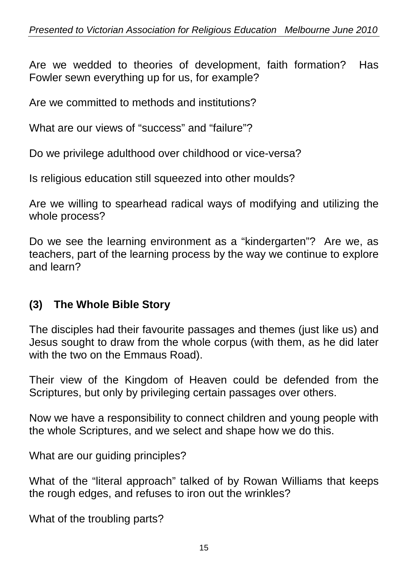Are we wedded to theories of development, faith formation? Has Fowler sewn everything up for us, for example?

Are we committed to methods and institutions?

What are our views of "success" and "failure"?

Do we privilege adulthood over childhood or vice-versa?

Is religious education still squeezed into other moulds?

Are we willing to spearhead radical ways of modifying and utilizing the whole process?

Do we see the learning environment as a "kindergarten"? Are we, as teachers, part of the learning process by the way we continue to explore and learn?

# **(3) The Whole Bible Story**

The disciples had their favourite passages and themes (just like us) and Jesus sought to draw from the whole corpus (with them, as he did later with the two on the Emmaus Road).

Their view of the Kingdom of Heaven could be defended from the Scriptures, but only by privileging certain passages over others.

Now we have a responsibility to connect children and young people with the whole Scriptures, and we select and shape how we do this.

What are our quiding principles?

What of the "literal approach" talked of by Rowan Williams that keeps the rough edges, and refuses to iron out the wrinkles?

What of the troubling parts?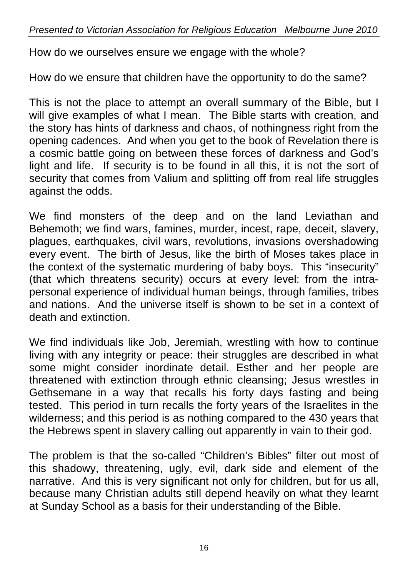How do we ourselves ensure we engage with the whole?

How do we ensure that children have the opportunity to do the same?

This is not the place to attempt an overall summary of the Bible, but I will give examples of what I mean. The Bible starts with creation, and the story has hints of darkness and chaos, of nothingness right from the opening cadences. And when you get to the book of Revelation there is a cosmic battle going on between these forces of darkness and God's light and life. If security is to be found in all this, it is not the sort of security that comes from Valium and splitting off from real life struggles against the odds.

We find monsters of the deep and on the land Leviathan and Behemoth; we find wars, famines, murder, incest, rape, deceit, slavery, plagues, earthquakes, civil wars, revolutions, invasions overshadowing every event. The birth of Jesus, like the birth of Moses takes place in the context of the systematic murdering of baby boys. This "insecurity" (that which threatens security) occurs at every level: from the intrapersonal experience of individual human beings, through families, tribes and nations. And the universe itself is shown to be set in a context of death and extinction.

We find individuals like Job, Jeremiah, wrestling with how to continue living with any integrity or peace: their struggles are described in what some might consider inordinate detail. Esther and her people are threatened with extinction through ethnic cleansing; Jesus wrestles in Gethsemane in a way that recalls his forty days fasting and being tested. This period in turn recalls the forty years of the Israelites in the wilderness; and this period is as nothing compared to the 430 years that the Hebrews spent in slavery calling out apparently in vain to their god.

The problem is that the so-called "Children's Bibles" filter out most of this shadowy, threatening, ugly, evil, dark side and element of the narrative. And this is very significant not only for children, but for us all, because many Christian adults still depend heavily on what they learnt at Sunday School as a basis for their understanding of the Bible.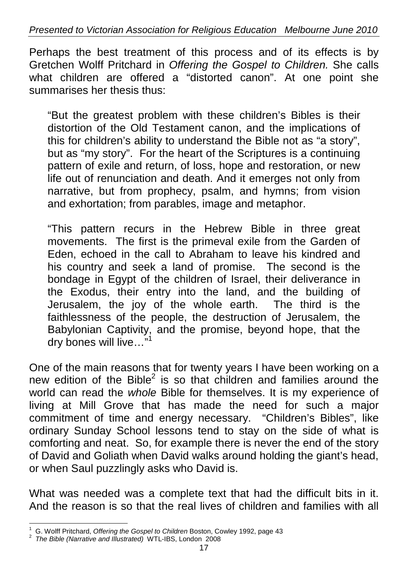Perhaps the best treatment of this process and of its effects is by Gretchen Wolff Pritchard in *Offering the Gospel to Children.* She calls what children are offered a "distorted canon". At one point she summarises her thesis thus:

"But the greatest problem with these children's Bibles is their distortion of the Old Testament canon, and the implications of this for children's ability to understand the Bible not as "a story", but as "my story". For the heart of the Scriptures is a continuing pattern of exile and return, of loss, hope and restoration, or new life out of renunciation and death. And it emerges not only from narrative, but from prophecy, psalm, and hymns; from vision and exhortation; from parables, image and metaphor.

"This pattern recurs in the Hebrew Bible in three great movements. The first is the primeval exile from the Garden of Eden, echoed in the call to Abraham to leave his kindred and his country and seek a land of promise. The second is the bondage in Egypt of the children of Israel, their deliverance in the Exodus, their entry into the land, and the building of Jerusalem, the joy of the whole earth. The third is the faithlessness of the people, the destruction of Jerusalem, the Babylonian Captivity, and the promise, beyond hope, that the dry bones will live..."<sup>1</sup>

One of the main reasons that for twenty years I have been working on a new edition of the Bible<sup>2</sup> is so that children and families around the world can read the *whole* Bible for themselves. It is my experience of living at Mill Grove that has made the need for such a major commitment of time and energy necessary. "Children's Bibles", like ordinary Sunday School lessons tend to stay on the side of what is comforting and neat. So, for example there is never the end of the story of David and Goliath when David walks around holding the giant's head, or when Saul puzzlingly asks who David is.

What was needed was a complete text that had the difficult bits in it. And the reason is so that the real lives of children and families with all

 1 G. Wolff Pritchard, *Offering the Gospel to Children* Boston, Cowley 1992, page 43 2 *The Bible (Narrative and Illustrated)* WTL-IBS, London 2008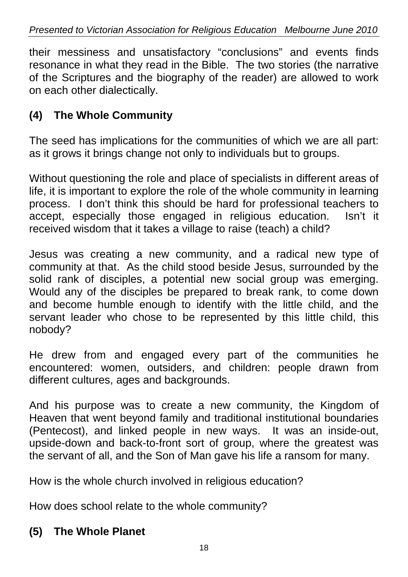their messiness and unsatisfactory "conclusions" and events finds resonance in what they read in the Bible. The two stories (the narrative of the Scriptures and the biography of the reader) are allowed to work on each other dialectically.

# **(4) The Whole Community**

The seed has implications for the communities of which we are all part: as it grows it brings change not only to individuals but to groups.

Without questioning the role and place of specialists in different areas of life, it is important to explore the role of the whole community in learning process. I don't think this should be hard for professional teachers to accept, especially those engaged in religious education. Isn't it received wisdom that it takes a village to raise (teach) a child?

Jesus was creating a new community, and a radical new type of community at that. As the child stood beside Jesus, surrounded by the solid rank of disciples, a potential new social group was emerging. Would any of the disciples be prepared to break rank, to come down and become humble enough to identify with the little child, and the servant leader who chose to be represented by this little child, this nobody?

He drew from and engaged every part of the communities he encountered: women, outsiders, and children: people drawn from different cultures, ages and backgrounds.

And his purpose was to create a new community, the Kingdom of Heaven that went beyond family and traditional institutional boundaries (Pentecost), and linked people in new ways. It was an inside-out, upside-down and back-to-front sort of group, where the greatest was the servant of all, and the Son of Man gave his life a ransom for many.

How is the whole church involved in religious education?

How does school relate to the whole community?

# **(5) The Whole Planet**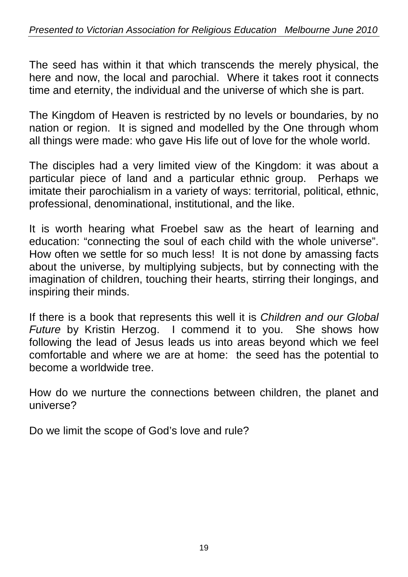The seed has within it that which transcends the merely physical, the here and now, the local and parochial. Where it takes root it connects time and eternity, the individual and the universe of which she is part.

The Kingdom of Heaven is restricted by no levels or boundaries, by no nation or region. It is signed and modelled by the One through whom all things were made: who gave His life out of love for the whole world.

The disciples had a very limited view of the Kingdom: it was about a particular piece of land and a particular ethnic group. Perhaps we imitate their parochialism in a variety of ways: territorial, political, ethnic, professional, denominational, institutional, and the like.

It is worth hearing what Froebel saw as the heart of learning and education: "connecting the soul of each child with the whole universe". How often we settle for so much less! It is not done by amassing facts about the universe, by multiplying subjects, but by connecting with the imagination of children, touching their hearts, stirring their longings, and inspiring their minds.

If there is a book that represents this well it is *Children and our Global Future* by Kristin Herzog. I commend it to you. She shows how following the lead of Jesus leads us into areas beyond which we feel comfortable and where we are at home: the seed has the potential to become a worldwide tree.

How do we nurture the connections between children, the planet and universe?

Do we limit the scope of God's love and rule?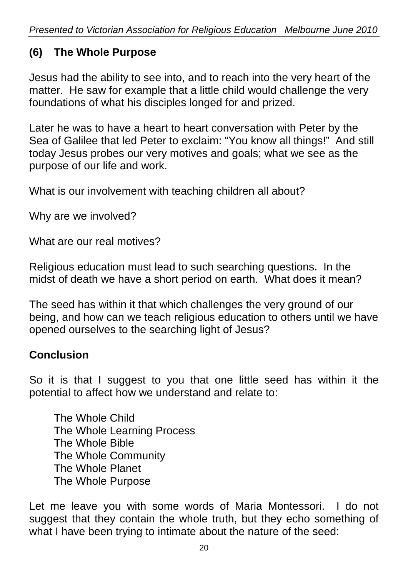# **(6) The Whole Purpose**

Jesus had the ability to see into, and to reach into the very heart of the matter. He saw for example that a little child would challenge the very foundations of what his disciples longed for and prized.

Later he was to have a heart to heart conversation with Peter by the Sea of Galilee that led Peter to exclaim: "You know all things!" And still today Jesus probes our very motives and goals; what we see as the purpose of our life and work.

What is our involvement with teaching children all about?

Why are we involved?

What are our real motives?

Religious education must lead to such searching questions. In the midst of death we have a short period on earth. What does it mean?

The seed has within it that which challenges the very ground of our being, and how can we teach religious education to others until we have opened ourselves to the searching light of Jesus?

#### **Conclusion**

So it is that I suggest to you that one little seed has within it the potential to affect how we understand and relate to:

The Whole Child The Whole Learning Process The Whole Bible The Whole Community The Whole Planet The Whole Purpose

Let me leave you with some words of Maria Montessori. I do not suggest that they contain the whole truth, but they echo something of what I have been trying to intimate about the nature of the seed: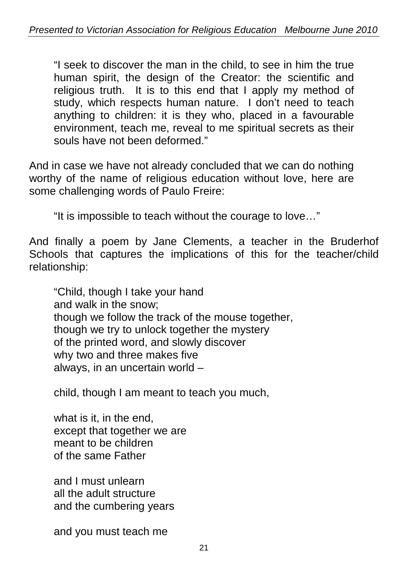"I seek to discover the man in the child, to see in him the true human spirit, the design of the Creator: the scientific and religious truth. It is to this end that I apply my method of study, which respects human nature. I don't need to teach anything to children: it is they who, placed in a favourable environment, teach me, reveal to me spiritual secrets as their souls have not been deformed."

And in case we have not already concluded that we can do nothing worthy of the name of religious education without love, here are some challenging words of Paulo Freire:

"It is impossible to teach without the courage to love…"

And finally a poem by Jane Clements, a teacher in the Bruderhof Schools that captures the implications of this for the teacher/child relationship:

"Child, though I take your hand and walk in the snow; though we follow the track of the mouse together, though we try to unlock together the mystery of the printed word, and slowly discover why two and three makes five always, in an uncertain world –

child, though I am meant to teach you much,

what is it, in the end, except that together we are meant to be children of the same Father

and I must unlearn all the adult structure and the cumbering years

and you must teach me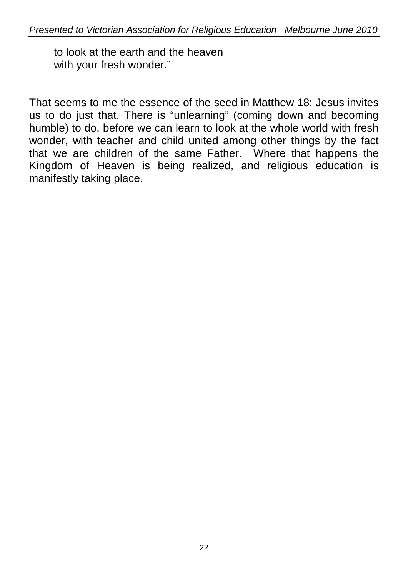to look at the earth and the heaven with your fresh wonder."

That seems to me the essence of the seed in Matthew 18: Jesus invites us to do just that. There is "unlearning" (coming down and becoming humble) to do, before we can learn to look at the whole world with fresh wonder, with teacher and child united among other things by the fact that we are children of the same Father. Where that happens the Kingdom of Heaven is being realized, and religious education is manifestly taking place.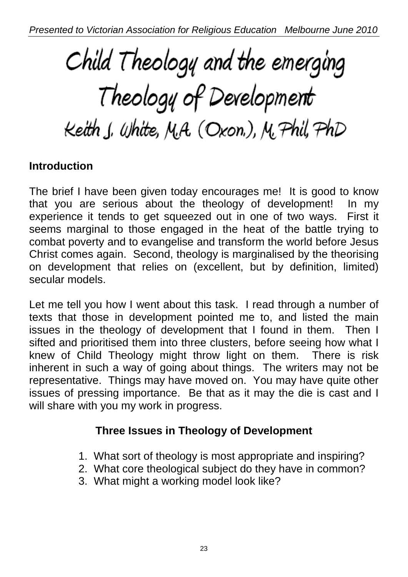# Child Theology and the emerging Theology of Development Keith J. White, M.A. (Oxon.), M. Phil, PhD

# **Introduction**

The brief I have been given today encourages me! It is good to know that you are serious about the theology of development! In my experience it tends to get squeezed out in one of two ways. First it seems marginal to those engaged in the heat of the battle trying to combat poverty and to evangelise and transform the world before Jesus Christ comes again. Second, theology is marginalised by the theorising on development that relies on (excellent, but by definition, limited) secular models.

Let me tell you how I went about this task. I read through a number of texts that those in development pointed me to, and listed the main issues in the theology of development that I found in them. Then I sifted and prioritised them into three clusters, before seeing how what I knew of Child Theology might throw light on them. There is risk inherent in such a way of going about things. The writers may not be representative. Things may have moved on. You may have quite other issues of pressing importance. Be that as it may the die is cast and I will share with you my work in progress.

# **Three Issues in Theology of Development**

- 1. What sort of theology is most appropriate and inspiring?
- 2. What core theological subject do they have in common?
- 3. What might a working model look like?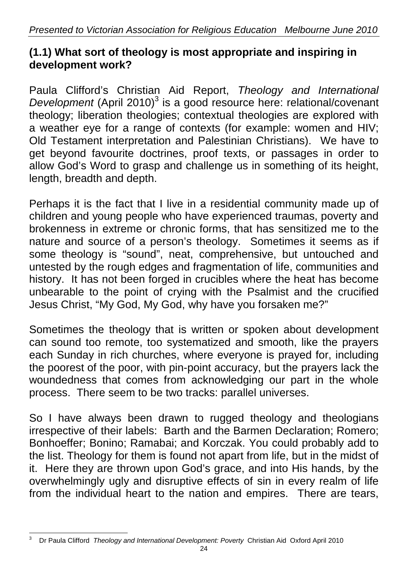# **(1.1) What sort of theology is most appropriate and inspiring in development work?**

Paula Clifford's Christian Aid Report, *Theology and International*  Development (April 2010)<sup>3</sup> is a good resource here: relational/covenant theology; liberation theologies; contextual theologies are explored with a weather eye for a range of contexts (for example: women and HIV; Old Testament interpretation and Palestinian Christians). We have to get beyond favourite doctrines, proof texts, or passages in order to allow God's Word to grasp and challenge us in something of its height, length, breadth and depth.

Perhaps it is the fact that I live in a residential community made up of children and young people who have experienced traumas, poverty and brokenness in extreme or chronic forms, that has sensitized me to the nature and source of a person's theology. Sometimes it seems as if some theology is "sound", neat, comprehensive, but untouched and untested by the rough edges and fragmentation of life, communities and history. It has not been forged in crucibles where the heat has become unbearable to the point of crying with the Psalmist and the crucified Jesus Christ, "My God, My God, why have you forsaken me?"

Sometimes the theology that is written or spoken about development can sound too remote, too systematized and smooth, like the prayers each Sunday in rich churches, where everyone is prayed for, including the poorest of the poor, with pin-point accuracy, but the prayers lack the woundedness that comes from acknowledging our part in the whole process. There seem to be two tracks: parallel universes.

So I have always been drawn to rugged theology and theologians irrespective of their labels: Barth and the Barmen Declaration; Romero; Bonhoeffer; Bonino; Ramabai; and Korczak. You could probably add to the list. Theology for them is found not apart from life, but in the midst of it. Here they are thrown upon God's grace, and into His hands, by the overwhelmingly ugly and disruptive effects of sin in every realm of life from the individual heart to the nation and empires. There are tears,

 $\overline{a}$ 3 Dr Paula Clifford *Theology and International Development: Poverty* Christian Aid Oxford April 2010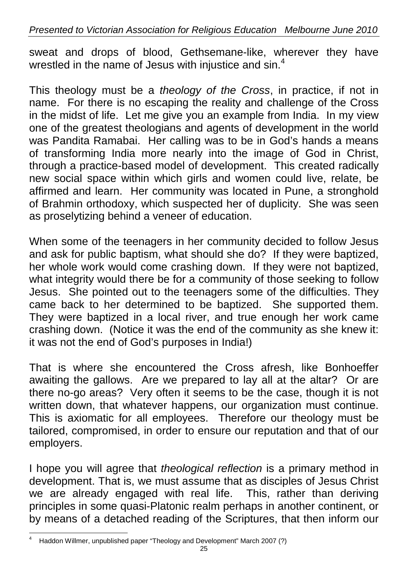sweat and drops of blood, Gethsemane-like, wherever they have wrestled in the name of Jesus with injustice and sin.<sup>4</sup>

This theology must be a *theology of the Cross*, in practice, if not in name. For there is no escaping the reality and challenge of the Cross in the midst of life. Let me give you an example from India. In my view one of the greatest theologians and agents of development in the world was Pandita Ramabai. Her calling was to be in God's hands a means of transforming India more nearly into the image of God in Christ, through a practice-based model of development. This created radically new social space within which girls and women could live, relate, be affirmed and learn. Her community was located in Pune, a stronghold of Brahmin orthodoxy, which suspected her of duplicity. She was seen as proselytizing behind a veneer of education.

When some of the teenagers in her community decided to follow Jesus and ask for public baptism, what should she do? If they were baptized, her whole work would come crashing down. If they were not baptized, what integrity would there be for a community of those seeking to follow Jesus. She pointed out to the teenagers some of the difficulties. They came back to her determined to be baptized. She supported them. They were baptized in a local river, and true enough her work came crashing down. (Notice it was the end of the community as she knew it: it was not the end of God's purposes in India!)

That is where she encountered the Cross afresh, like Bonhoeffer awaiting the gallows. Are we prepared to lay all at the altar? Or are there no-go areas? Very often it seems to be the case, though it is not written down, that whatever happens, our organization must continue. This is axiomatic for all employees. Therefore our theology must be tailored, compromised, in order to ensure our reputation and that of our employers.

I hope you will agree that *theological reflection* is a primary method in development. That is, we must assume that as disciples of Jesus Christ we are already engaged with real life. This, rather than deriving principles in some quasi-Platonic realm perhaps in another continent, or by means of a detached reading of the Scriptures, that then inform our

 $\overline{a}$ 4 Haddon Willmer, unpublished paper "Theology and Development" March 2007 (?)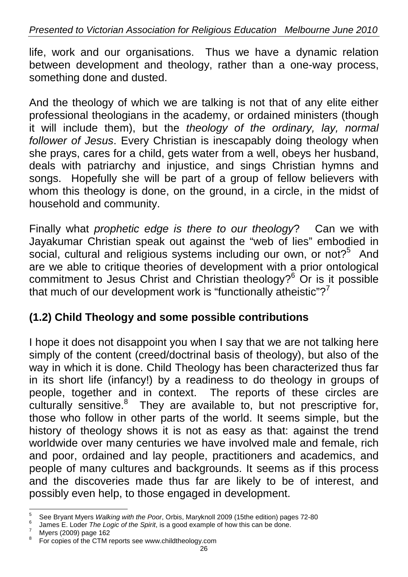#### *Presented to Victorian Association for Religious Education Melbourne June 2010*

life, work and our organisations. Thus we have a dynamic relation between development and theology, rather than a one-way process, something done and dusted.

And the theology of which we are talking is not that of any elite either professional theologians in the academy, or ordained ministers (though it will include them), but the *theology of the ordinary, lay, normal follower of Jesus*. Every Christian is inescapably doing theology when she prays, cares for a child, gets water from a well, obeys her husband, deals with patriarchy and injustice, and sings Christian hymns and songs. Hopefully she will be part of a group of fellow believers with whom this theology is done, on the ground, in a circle, in the midst of household and community.

Finally what *prophetic edge is there to our theology*? Can we with Jayakumar Christian speak out against the "web of lies" embodied in social, cultural and religious systems including our own, or not?<sup>5</sup> And are we able to critique theories of development with a prior ontological commitment to Jesus Christ and Christian theology?<sup>6</sup> Or is it possible that much of our development work is "functionally atheistic"? $7$ 

# **(1.2) Child Theology and some possible contributions**

I hope it does not disappoint you when I say that we are not talking here simply of the content (creed/doctrinal basis of theology), but also of the way in which it is done. Child Theology has been characterized thus far in its short life (infancy!) by a readiness to do theology in groups of people, together and in context. The reports of these circles are culturally sensitive.<sup>8</sup> They are available to, but not prescriptive for, those who follow in other parts of the world. It seems simple, but the history of theology shows it is not as easy as that: against the trend worldwide over many centuries we have involved male and female, rich and poor, ordained and lay people, practitioners and academics, and people of many cultures and backgrounds. It seems as if this process and the discoveries made thus far are likely to be of interest, and possibly even help, to those engaged in development.

 $\frac{1}{5}$ <sup>5</sup> See Bryant Myers *Walking with the Poor*, Orbis, Maryknoll 2009 (15the edition) pages 72-80  $\frac{6}{10}$  lames E, Loder *The Logie of the Spirit is a good example of bow this can be done* 

 $\frac{6}{7}$  James E. Loder *The Logic of the Spirit*, is a good example of how this can be done.

Myers (2009) page 162

<sup>&</sup>lt;sup>8</sup> For copies of the CTM reports see www.childtheology.com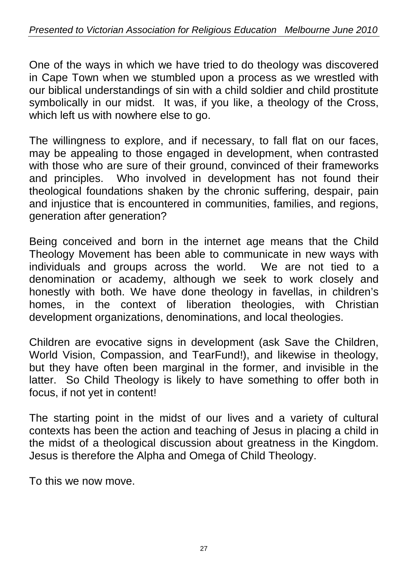One of the ways in which we have tried to do theology was discovered in Cape Town when we stumbled upon a process as we wrestled with our biblical understandings of sin with a child soldier and child prostitute symbolically in our midst. It was, if you like, a theology of the Cross, which left us with nowhere else to go.

The willingness to explore, and if necessary, to fall flat on our faces, may be appealing to those engaged in development, when contrasted with those who are sure of their ground, convinced of their frameworks and principles. Who involved in development has not found their theological foundations shaken by the chronic suffering, despair, pain and injustice that is encountered in communities, families, and regions, generation after generation?

Being conceived and born in the internet age means that the Child Theology Movement has been able to communicate in new ways with individuals and groups across the world. We are not tied to a denomination or academy, although we seek to work closely and honestly with both. We have done theology in favellas, in children's homes, in the context of liberation theologies, with Christian development organizations, denominations, and local theologies.

Children are evocative signs in development (ask Save the Children, World Vision, Compassion, and TearFund!), and likewise in theology, but they have often been marginal in the former, and invisible in the latter. So Child Theology is likely to have something to offer both in focus, if not yet in content!

The starting point in the midst of our lives and a variety of cultural contexts has been the action and teaching of Jesus in placing a child in the midst of a theological discussion about greatness in the Kingdom. Jesus is therefore the Alpha and Omega of Child Theology.

To this we now move.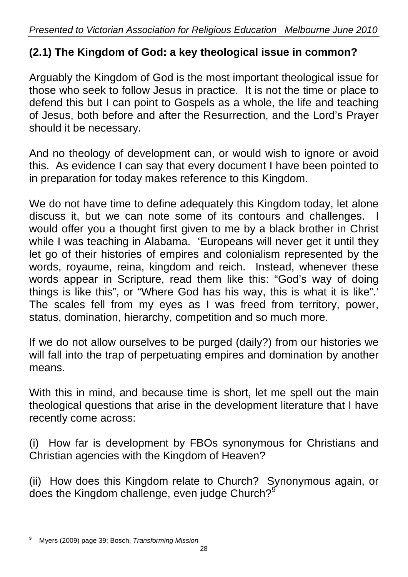# **(2.1) The Kingdom of God: a key theological issue in common?**

Arguably the Kingdom of God is the most important theological issue for those who seek to follow Jesus in practice. It is not the time or place to defend this but I can point to Gospels as a whole, the life and teaching of Jesus, both before and after the Resurrection, and the Lord's Prayer should it be necessary.

And no theology of development can, or would wish to ignore or avoid this. As evidence I can say that every document I have been pointed to in preparation for today makes reference to this Kingdom.

We do not have time to define adequately this Kingdom today, let alone discuss it, but we can note some of its contours and challenges. would offer you a thought first given to me by a black brother in Christ while I was teaching in Alabama. 'Europeans will never get it until they let go of their histories of empires and colonialism represented by the words, royaume, reina, kingdom and reich. Instead, whenever these words appear in Scripture, read them like this: "God's way of doing things is like this", or "Where God has his way, this is what it is like".' The scales fell from my eyes as I was freed from territory, power, status, domination, hierarchy, competition and so much more.

If we do not allow ourselves to be purged (daily?) from our histories we will fall into the trap of perpetuating empires and domination by another means.

With this in mind, and because time is short, let me spell out the main theological questions that arise in the development literature that I have recently come across:

(i) How far is development by FBOs synonymous for Christians and Christian agencies with the Kingdom of Heaven?

(ii) How does this Kingdom relate to Church? Synonymous again, or does the Kingdom challenge, even judge Church? $9^9$ 

 $\overline{a}$ 9 Myers (2009) page 39; Bosch, *Transforming Mission*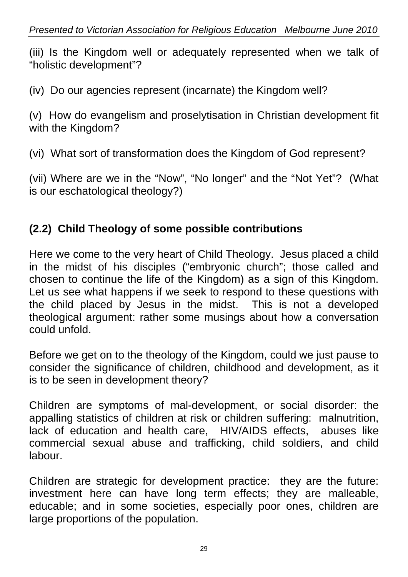(iii) Is the Kingdom well or adequately represented when we talk of "holistic development"?

(iv) Do our agencies represent (incarnate) the Kingdom well?

(v) How do evangelism and proselytisation in Christian development fit with the Kingdom?

(vi) What sort of transformation does the Kingdom of God represent?

(vii) Where are we in the "Now", "No longer" and the "Not Yet"? (What is our eschatological theology?)

# **(2.2) Child Theology of some possible contributions**

Here we come to the very heart of Child Theology. Jesus placed a child in the midst of his disciples ("embryonic church"; those called and chosen to continue the life of the Kingdom) as a sign of this Kingdom. Let us see what happens if we seek to respond to these questions with the child placed by Jesus in the midst. This is not a developed theological argument: rather some musings about how a conversation could unfold.

Before we get on to the theology of the Kingdom, could we just pause to consider the significance of children, childhood and development, as it is to be seen in development theory?

Children are symptoms of mal-development, or social disorder: the appalling statistics of children at risk or children suffering: malnutrition, lack of education and health care, HIV/AIDS effects, abuses like commercial sexual abuse and trafficking, child soldiers, and child labour.

Children are strategic for development practice: they are the future: investment here can have long term effects; they are malleable, educable; and in some societies, especially poor ones, children are large proportions of the population.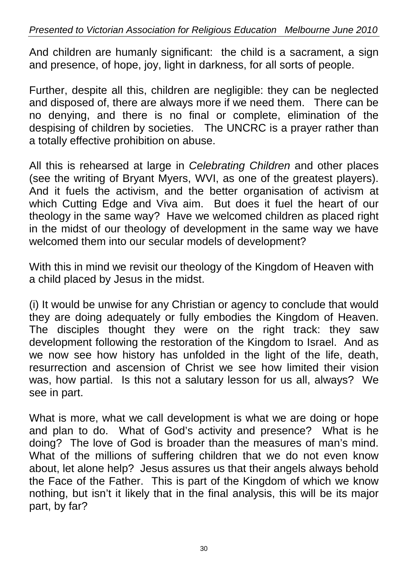And children are humanly significant: the child is a sacrament, a sign and presence, of hope, joy, light in darkness, for all sorts of people.

Further, despite all this, children are negligible: they can be neglected and disposed of, there are always more if we need them. There can be no denying, and there is no final or complete, elimination of the despising of children by societies. The UNCRC is a prayer rather than a totally effective prohibition on abuse.

All this is rehearsed at large in *Celebrating Children* and other places (see the writing of Bryant Myers, WVI, as one of the greatest players). And it fuels the activism, and the better organisation of activism at which Cutting Edge and Viva aim. But does it fuel the heart of our theology in the same way? Have we welcomed children as placed right in the midst of our theology of development in the same way we have welcomed them into our secular models of development?

With this in mind we revisit our theology of the Kingdom of Heaven with a child placed by Jesus in the midst.

(i) It would be unwise for any Christian or agency to conclude that would they are doing adequately or fully embodies the Kingdom of Heaven. The disciples thought they were on the right track: they saw development following the restoration of the Kingdom to Israel. And as we now see how history has unfolded in the light of the life, death, resurrection and ascension of Christ we see how limited their vision was, how partial. Is this not a salutary lesson for us all, always? We see in part.

What is more, what we call development is what we are doing or hope and plan to do. What of God's activity and presence? What is he doing? The love of God is broader than the measures of man's mind. What of the millions of suffering children that we do not even know about, let alone help? Jesus assures us that their angels always behold the Face of the Father. This is part of the Kingdom of which we know nothing, but isn't it likely that in the final analysis, this will be its major part, by far?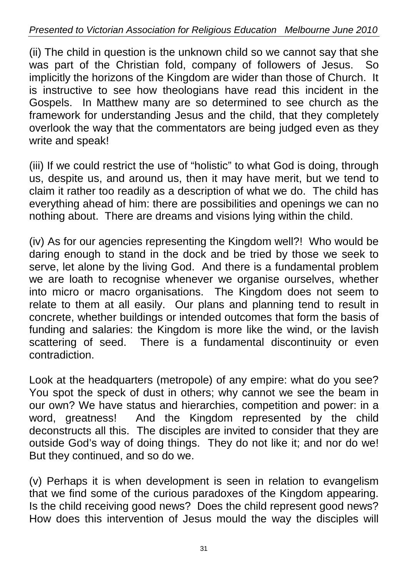(ii) The child in question is the unknown child so we cannot say that she was part of the Christian fold, company of followers of Jesus. So implicitly the horizons of the Kingdom are wider than those of Church. It is instructive to see how theologians have read this incident in the Gospels. In Matthew many are so determined to see church as the framework for understanding Jesus and the child, that they completely overlook the way that the commentators are being judged even as they write and speak!

(iii) If we could restrict the use of "holistic" to what God is doing, through us, despite us, and around us, then it may have merit, but we tend to claim it rather too readily as a description of what we do. The child has everything ahead of him: there are possibilities and openings we can no nothing about. There are dreams and visions lying within the child.

(iv) As for our agencies representing the Kingdom well?! Who would be daring enough to stand in the dock and be tried by those we seek to serve, let alone by the living God. And there is a fundamental problem we are loath to recognise whenever we organise ourselves, whether into micro or macro organisations. The Kingdom does not seem to relate to them at all easily. Our plans and planning tend to result in concrete, whether buildings or intended outcomes that form the basis of funding and salaries: the Kingdom is more like the wind, or the lavish scattering of seed. There is a fundamental discontinuity or even contradiction.

Look at the headquarters (metropole) of any empire: what do you see? You spot the speck of dust in others; why cannot we see the beam in our own? We have status and hierarchies, competition and power: in a word, greatness! And the Kingdom represented by the child deconstructs all this. The disciples are invited to consider that they are outside God's way of doing things. They do not like it; and nor do we! But they continued, and so do we.

(v) Perhaps it is when development is seen in relation to evangelism that we find some of the curious paradoxes of the Kingdom appearing. Is the child receiving good news? Does the child represent good news? How does this intervention of Jesus mould the way the disciples will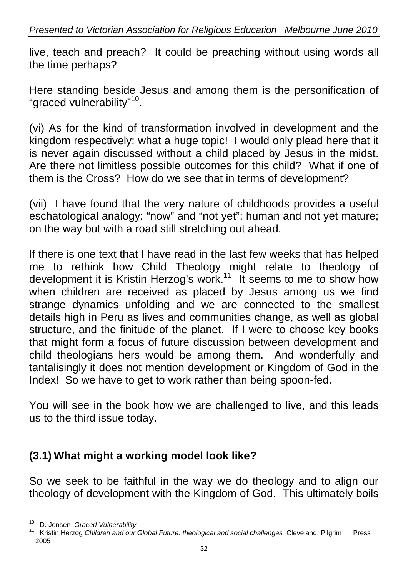live, teach and preach? It could be preaching without using words all the time perhaps?

Here standing beside Jesus and among them is the personification of "graced vulnerability"<sup>10</sup>.

(vi) As for the kind of transformation involved in development and the kingdom respectively: what a huge topic! I would only plead here that it is never again discussed without a child placed by Jesus in the midst. Are there not limitless possible outcomes for this child? What if one of them is the Cross? How do we see that in terms of development?

(vii) I have found that the very nature of childhoods provides a useful eschatological analogy: "now" and "not yet"; human and not yet mature; on the way but with a road still stretching out ahead.

If there is one text that I have read in the last few weeks that has helped me to rethink how Child Theology might relate to theology of development it is Kristin Herzog's work.<sup>11</sup> It seems to me to show how when children are received as placed by Jesus among us we find strange dynamics unfolding and we are connected to the smallest details high in Peru as lives and communities change, as well as global structure, and the finitude of the planet. If I were to choose key books that might form a focus of future discussion between development and child theologians hers would be among them. And wonderfully and tantalisingly it does not mention development or Kingdom of God in the Index! So we have to get to work rather than being spoon-fed.

You will see in the book how we are challenged to live, and this leads us to the third issue today.

# **(3.1) What might a working model look like?**

So we seek to be faithful in the way we do theology and to align our theology of development with the Kingdom of God. This ultimately boils

 $\overline{a}$ 

<sup>&</sup>lt;sup>10</sup> D. Jensen *Graced Vulnerability*<br><sup>11</sup> Kristin Herzog *Children and our Global Future: theological and social challenges Cleveland, Pilgrim Press* 2005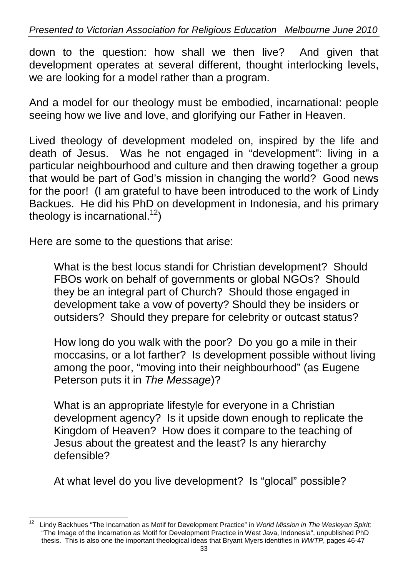down to the question: how shall we then live? And given that development operates at several different, thought interlocking levels, we are looking for a model rather than a program.

And a model for our theology must be embodied, incarnational: people seeing how we live and love, and glorifying our Father in Heaven.

Lived theology of development modeled on, inspired by the life and death of Jesus. Was he not engaged in "development": living in a particular neighbourhood and culture and then drawing together a group that would be part of God's mission in changing the world? Good news for the poor! (I am grateful to have been introduced to the work of Lindy Backues. He did his PhD on development in Indonesia, and his primary theology is incarnational.<sup>12</sup>)

Here are some to the questions that arise:

What is the best locus standi for Christian development? Should FBOs work on behalf of governments or global NGOs? Should they be an integral part of Church? Should those engaged in development take a vow of poverty? Should they be insiders or outsiders? Should they prepare for celebrity or outcast status?

How long do you walk with the poor? Do you go a mile in their moccasins, or a lot farther? Is development possible without living among the poor, "moving into their neighbourhood" (as Eugene Peterson puts it in *The Message*)?

What is an appropriate lifestyle for everyone in a Christian development agency? Is it upside down enough to replicate the Kingdom of Heaven? How does it compare to the teaching of Jesus about the greatest and the least? Is any hierarchy defensible?

At what level do you live development? Is "glocal" possible?

 $\overline{a}$ 12 Lindy Backhues "The Incarnation as Motif for Development Practice" in *World Mission in The Wesleyan Spirit;*  "The Image of the Incarnation as Motif for Development Practice in West Java, Indonesia", unpublished PhD thesis. This is also one the important theological ideas that Bryant Myers identifies in *WWTP*, pages 46-47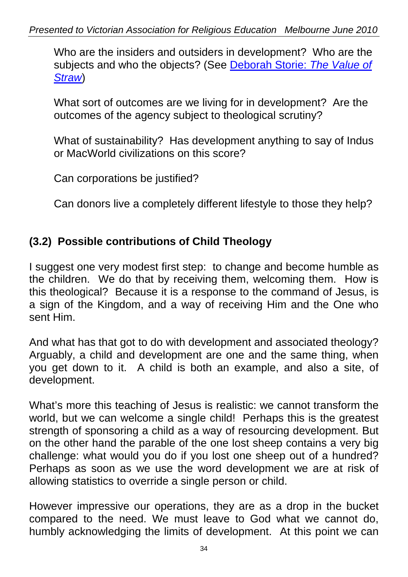Who are the insiders and outsiders in development? Who are the subjects and who the objects? (See Deborah Storie: *The Value of Straw*)

What sort of outcomes are we living for in development? Are the outcomes of the agency subject to theological scrutiny?

What of sustainability? Has development anything to say of Indus or MacWorld civilizations on this score?

Can corporations be justified?

Can donors live a completely different lifestyle to those they help?

# **(3.2) Possible contributions of Child Theology**

I suggest one very modest first step: to change and become humble as the children. We do that by receiving them, welcoming them. How is this theological? Because it is a response to the command of Jesus, is a sign of the Kingdom, and a way of receiving Him and the One who sent Him.

And what has that got to do with development and associated theology? Arguably, a child and development are one and the same thing, when you get down to it. A child is both an example, and also a site, of development.

What's more this teaching of Jesus is realistic: we cannot transform the world, but we can welcome a single child! Perhaps this is the greatest strength of sponsoring a child as a way of resourcing development. But on the other hand the parable of the one lost sheep contains a very big challenge: what would you do if you lost one sheep out of a hundred? Perhaps as soon as we use the word development we are at risk of allowing statistics to override a single person or child.

However impressive our operations, they are as a drop in the bucket compared to the need. We must leave to God what we cannot do, humbly acknowledging the limits of development. At this point we can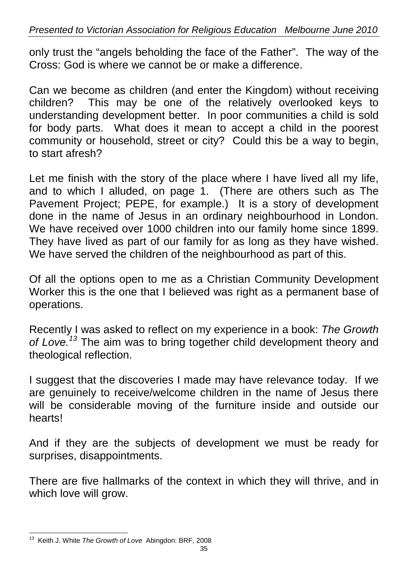only trust the "angels beholding the face of the Father". The way of the Cross: God is where we cannot be or make a difference.

Can we become as children (and enter the Kingdom) without receiving children? This may be one of the relatively overlooked keys to understanding development better. In poor communities a child is sold for body parts. What does it mean to accept a child in the poorest community or household, street or city? Could this be a way to begin, to start afresh?

Let me finish with the story of the place where I have lived all my life, and to which I alluded, on page 1. (There are others such as The Pavement Project; PEPE, for example.) It is a story of development done in the name of Jesus in an ordinary neighbourhood in London. We have received over 1000 children into our family home since 1899. They have lived as part of our family for as long as they have wished. We have served the children of the neighbourhood as part of this.

Of all the options open to me as a Christian Community Development Worker this is the one that I believed was right as a permanent base of operations.

Recently I was asked to reflect on my experience in a book: *The Growth of Love.<sup>13</sup>* The aim was to bring together child development theory and theological reflection.

I suggest that the discoveries I made may have relevance today. If we are genuinely to receive/welcome children in the name of Jesus there will be considerable moving of the furniture inside and outside our hearts!

And if they are the subjects of development we must be ready for surprises, disappointments.

There are five hallmarks of the context in which they will thrive, and in which love will grow.

 $\overline{a}$ 13 Keith J. White *The Growth of Love* Abingdon: BRF, 2008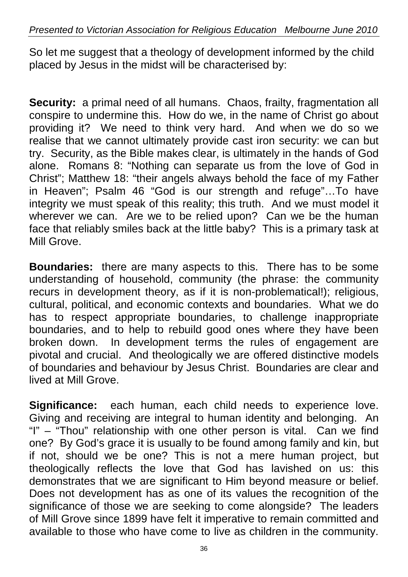So let me suggest that a theology of development informed by the child placed by Jesus in the midst will be characterised by:

**Security:** a primal need of all humans. Chaos, frailty, fragmentation all conspire to undermine this. How do we, in the name of Christ go about providing it? We need to think very hard. And when we do so we realise that we cannot ultimately provide cast iron security: we can but try. Security, as the Bible makes clear, is ultimately in the hands of God alone. Romans 8: "Nothing can separate us from the love of God in Christ"; Matthew 18: "their angels always behold the face of my Father in Heaven"; Psalm 46 "God is our strength and refuge"…To have integrity we must speak of this reality; this truth. And we must model it wherever we can. Are we to be relied upon? Can we be the human face that reliably smiles back at the little baby? This is a primary task at Mill Grove.

**Boundaries:** there are many aspects to this. There has to be some understanding of household, community (the phrase: the community recurs in development theory, as if it is non-problematical!); religious, cultural, political, and economic contexts and boundaries. What we do has to respect appropriate boundaries, to challenge inappropriate boundaries, and to help to rebuild good ones where they have been broken down. In development terms the rules of engagement are pivotal and crucial. And theologically we are offered distinctive models of boundaries and behaviour by Jesus Christ. Boundaries are clear and lived at Mill Grove.

**Significance:** each human, each child needs to experience love. Giving and receiving are integral to human identity and belonging. An "I" – "Thou" relationship with one other person is vital. Can we find one? By God's grace it is usually to be found among family and kin, but if not, should we be one? This is not a mere human project, but theologically reflects the love that God has lavished on us: this demonstrates that we are significant to Him beyond measure or belief. Does not development has as one of its values the recognition of the significance of those we are seeking to come alongside? The leaders of Mill Grove since 1899 have felt it imperative to remain committed and available to those who have come to live as children in the community.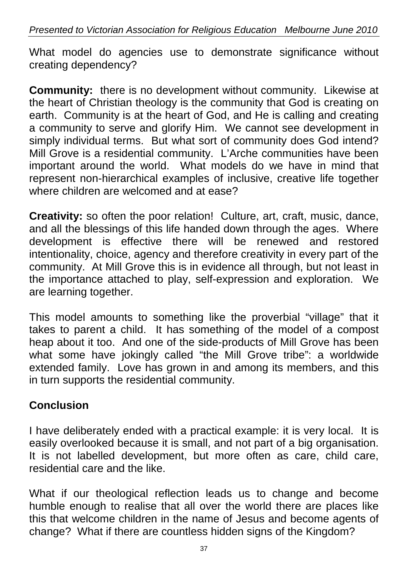What model do agencies use to demonstrate significance without creating dependency?

**Community:** there is no development without community. Likewise at the heart of Christian theology is the community that God is creating on earth. Community is at the heart of God, and He is calling and creating a community to serve and glorify Him. We cannot see development in simply individual terms. But what sort of community does God intend? Mill Grove is a residential community. L'Arche communities have been important around the world. What models do we have in mind that represent non-hierarchical examples of inclusive, creative life together where children are welcomed and at ease?

**Creativity:** so often the poor relation! Culture, art, craft, music, dance, and all the blessings of this life handed down through the ages. Where development is effective there will be renewed and restored intentionality, choice, agency and therefore creativity in every part of the community. At Mill Grove this is in evidence all through, but not least in the importance attached to play, self-expression and exploration. We are learning together.

This model amounts to something like the proverbial "village" that it takes to parent a child. It has something of the model of a compost heap about it too. And one of the side-products of Mill Grove has been what some have jokingly called "the Mill Grove tribe": a worldwide extended family. Love has grown in and among its members, and this in turn supports the residential community.

# **Conclusion**

I have deliberately ended with a practical example: it is very local. It is easily overlooked because it is small, and not part of a big organisation. It is not labelled development, but more often as care, child care, residential care and the like.

What if our theological reflection leads us to change and become humble enough to realise that all over the world there are places like this that welcome children in the name of Jesus and become agents of change? What if there are countless hidden signs of the Kingdom?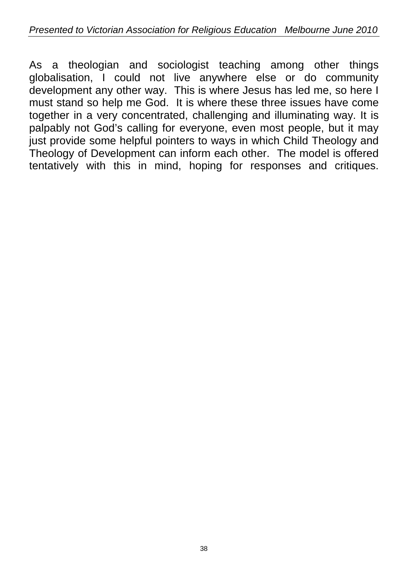As a theologian and sociologist teaching among other things globalisation, I could not live anywhere else or do community development any other way. This is where Jesus has led me, so here I must stand so help me God. It is where these three issues have come together in a very concentrated, challenging and illuminating way. It is palpably not God's calling for everyone, even most people, but it may just provide some helpful pointers to ways in which Child Theology and Theology of Development can inform each other. The model is offered tentatively with this in mind, hoping for responses and critiques.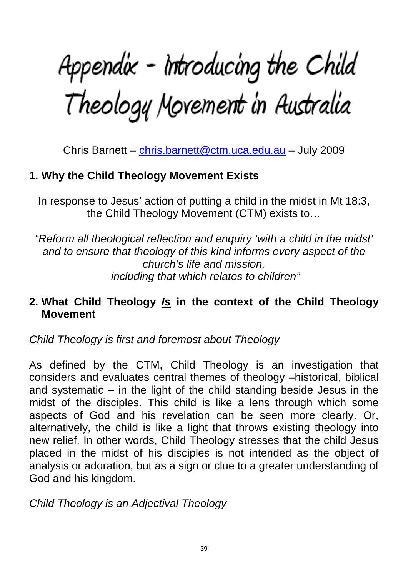Appendix - Introducing the Child<br>Theology Movement in Australia

Chris Barnett – chris.barnett@ctm.uca.edu.au – July 2009

# **1. Why the Child Theology Movement Exists**

In response to Jesus' action of putting a child in the midst in Mt 18:3, the Child Theology Movement (CTM) exists to…

*"Reform all theological reflection and enquiry 'with a child in the midst' and to ensure that theology of this kind informs every aspect of the church's life and mission, including that which relates to children"* 

#### **2. What Child Theology** *Is* **in the context of the Child Theology Movement**

*Child Theology is first and foremost about Theology* 

As defined by the CTM, Child Theology is an investigation that considers and evaluates central themes of theology –historical, biblical and systematic – in the light of the child standing beside Jesus in the midst of the disciples. This child is like a lens through which some aspects of God and his revelation can be seen more clearly. Or, alternatively, the child is like a light that throws existing theology into new relief. In other words, Child Theology stresses that the child Jesus placed in the midst of his disciples is not intended as the object of analysis or adoration, but as a sign or clue to a greater understanding of God and his kingdom.

*Child Theology is an Adjectival Theology*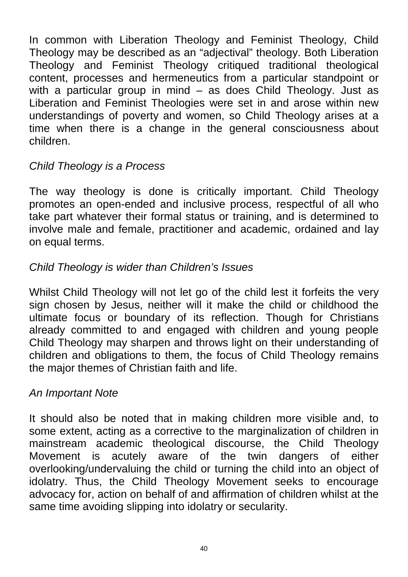In common with Liberation Theology and Feminist Theology, Child Theology may be described as an "adjectival" theology. Both Liberation Theology and Feminist Theology critiqued traditional theological content, processes and hermeneutics from a particular standpoint or with a particular group in mind – as does Child Theology. Just as Liberation and Feminist Theologies were set in and arose within new understandings of poverty and women, so Child Theology arises at a time when there is a change in the general consciousness about children.

# *Child Theology is a Process*

The way theology is done is critically important. Child Theology promotes an open-ended and inclusive process, respectful of all who take part whatever their formal status or training, and is determined to involve male and female, practitioner and academic, ordained and lay on equal terms.

#### *Child Theology is wider than Children's Issues*

Whilst Child Theology will not let go of the child lest it forfeits the very sign chosen by Jesus, neither will it make the child or childhood the ultimate focus or boundary of its reflection. Though for Christians already committed to and engaged with children and young people Child Theology may sharpen and throws light on their understanding of children and obligations to them, the focus of Child Theology remains the major themes of Christian faith and life.

#### *An Important Note*

It should also be noted that in making children more visible and, to some extent, acting as a corrective to the marginalization of children in mainstream academic theological discourse, the Child Theology Movement is acutely aware of the twin dangers of either overlooking/undervaluing the child or turning the child into an object of idolatry. Thus, the Child Theology Movement seeks to encourage advocacy for, action on behalf of and affirmation of children whilst at the same time avoiding slipping into idolatry or secularity.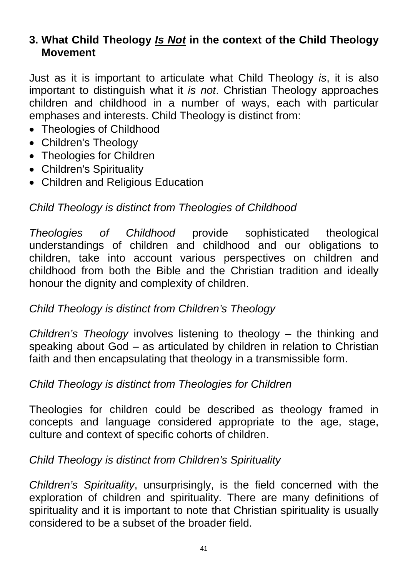# **3. What Child Theology** *Is Not* **in the context of the Child Theology Movement**

Just as it is important to articulate what Child Theology *is*, it is also important to distinguish what it *is not*. Christian Theology approaches children and childhood in a number of ways, each with particular emphases and interests. Child Theology is distinct from:

- Theologies of Childhood
- Children's Theology
- Theologies for Children
- Children's Spirituality
- Children and Religious Education

# *Child Theology is distinct from Theologies of Childhood*

*Theologies of Childhood* provide sophisticated theological understandings of children and childhood and our obligations to children, take into account various perspectives on children and childhood from both the Bible and the Christian tradition and ideally honour the dignity and complexity of children.

# *Child Theology is distinct from Children's Theology*

*Children's Theology* involves listening to theology – the thinking and speaking about God – as articulated by children in relation to Christian faith and then encapsulating that theology in a transmissible form.

#### *Child Theology is distinct from Theologies for Children*

Theologies for children could be described as theology framed in concepts and language considered appropriate to the age, stage, culture and context of specific cohorts of children.

# *Child Theology is distinct from Children's Spirituality*

*Children's Spirituality*, unsurprisingly, is the field concerned with the exploration of children and spirituality. There are many definitions of spirituality and it is important to note that Christian spirituality is usually considered to be a subset of the broader field.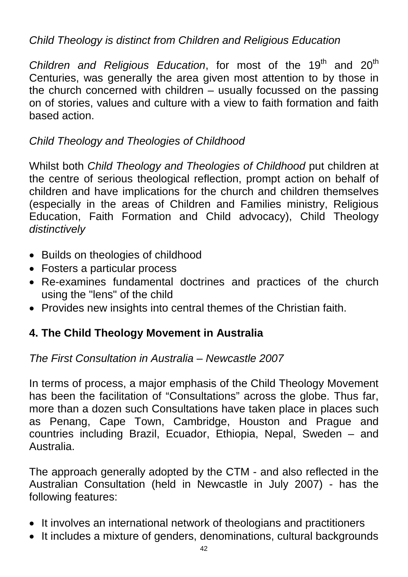# *Child Theology is distinct from Children and Religious Education*

*Children and Religious Education*, for most of the 19<sup>th</sup> and 20<sup>th</sup> Centuries, was generally the area given most attention to by those in the church concerned with children – usually focussed on the passing on of stories, values and culture with a view to faith formation and faith based action.

#### *Child Theology and Theologies of Childhood*

Whilst both *Child Theology and Theologies of Childhood* put children at the centre of serious theological reflection, prompt action on behalf of children and have implications for the church and children themselves (especially in the areas of Children and Families ministry, Religious Education, Faith Formation and Child advocacy), Child Theology *distinctively*

- Builds on theologies of childhood
- Fosters a particular process
- Re-examines fundamental doctrines and practices of the church using the "lens" of the child
- Provides new insights into central themes of the Christian faith.

# **4. The Child Theology Movement in Australia**

*The First Consultation in Australia – Newcastle 2007* 

In terms of process, a major emphasis of the Child Theology Movement has been the facilitation of "Consultations" across the globe. Thus far, more than a dozen such Consultations have taken place in places such as Penang, Cape Town, Cambridge, Houston and Prague and countries including Brazil, Ecuador, Ethiopia, Nepal, Sweden – and Australia.

The approach generally adopted by the CTM - and also reflected in the Australian Consultation (held in Newcastle in July 2007) - has the following features:

- It involves an international network of theologians and practitioners
- It includes a mixture of genders, denominations, cultural backgrounds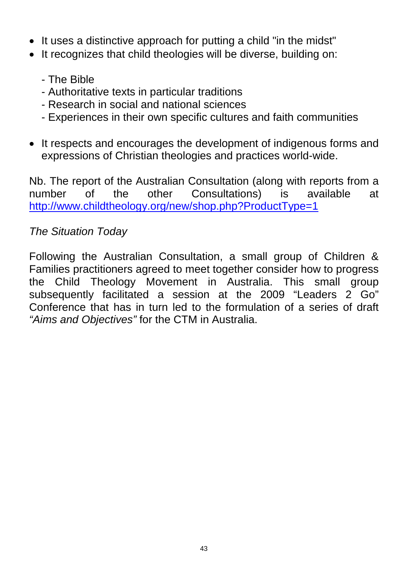- It uses a distinctive approach for putting a child "in the midst"
- It recognizes that child theologies will be diverse, building on:
	- The Bible
	- Authoritative texts in particular traditions
	- Research in social and national sciences
	- Experiences in their own specific cultures and faith communities
- It respects and encourages the development of indigenous forms and expressions of Christian theologies and practices world-wide.

Nb. The report of the Australian Consultation (along with reports from a number of the other Consultations) is available at http://www.childtheology.org/new/shop.php?ProductType=1

# *The Situation Today*

Following the Australian Consultation, a small group of Children & Families practitioners agreed to meet together consider how to progress the Child Theology Movement in Australia. This small group subsequently facilitated a session at the 2009 "Leaders 2 Go" Conference that has in turn led to the formulation of a series of draft *"Aims and Objectives"* for the CTM in Australia.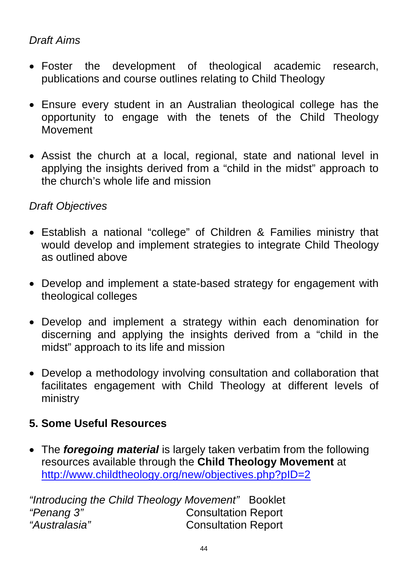# *Draft Aims*

- Foster the development of theological academic research, publications and course outlines relating to Child Theology
- Ensure every student in an Australian theological college has the opportunity to engage with the tenets of the Child Theology Movement
- Assist the church at a local, regional, state and national level in applying the insights derived from a "child in the midst" approach to the church's whole life and mission

#### *Draft Objectives*

- Establish a national "college" of Children & Families ministry that would develop and implement strategies to integrate Child Theology as outlined above
- Develop and implement a state-based strategy for engagement with theological colleges
- Develop and implement a strategy within each denomination for discerning and applying the insights derived from a "child in the midst" approach to its life and mission
- Develop a methodology involving consultation and collaboration that facilitates engagement with Child Theology at different levels of ministry

# **5. Some Useful Resources**

 The *foregoing material* is largely taken verbatim from the following resources available through the **Child Theology Movement** at http://www.childtheology.org/new/objectives.php?pID=2

*"Introducing the Child Theology Movement"* Booklet *"Penang 3"* Consultation Report *"Australasia"* Consultation Report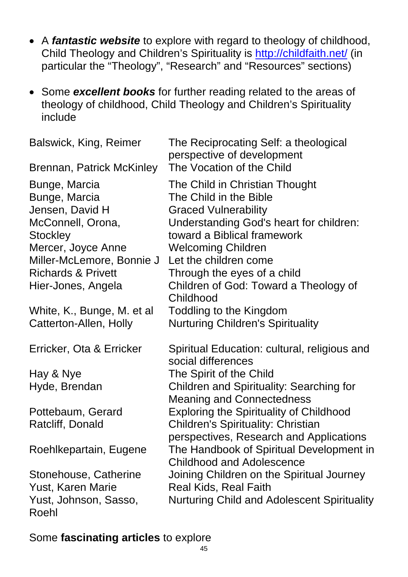- A *fantastic website* to explore with regard to theology of childhood, Child Theology and Children's Spirituality is http://childfaith.net/ (in particular the "Theology", "Research" and "Resources" sections)
- Some *excellent books* for further reading related to the areas of theology of childhood, Child Theology and Children's Spirituality include

| Balswick, King, Reimer<br>Brennan, Patrick McKinley | The Reciprocating Self: a theological<br>perspective of development<br>The Vocation of the Child |
|-----------------------------------------------------|--------------------------------------------------------------------------------------------------|
| Bunge, Marcia                                       | The Child in Christian Thought                                                                   |
| Bunge, Marcia                                       | The Child in the Bible                                                                           |
| Jensen, David H                                     | <b>Graced Vulnerability</b>                                                                      |
| McConnell, Orona,                                   | Understanding God's heart for children:                                                          |
| <b>Stockley</b>                                     | toward a Biblical framework                                                                      |
| Mercer, Joyce Anne                                  | <b>Welcoming Children</b>                                                                        |
| Miller-McLemore, Bonnie J                           | Let the children come                                                                            |
| <b>Richards &amp; Privett</b>                       | Through the eyes of a child                                                                      |
| Hier-Jones, Angela                                  | Children of God: Toward a Theology of                                                            |
|                                                     | Childhood                                                                                        |
| White, K., Bunge, M. et al                          | Toddling to the Kingdom                                                                          |
| Catterton-Allen, Holly                              | <b>Nurturing Children's Spirituality</b>                                                         |
| Erricker, Ota & Erricker                            | Spiritual Education: cultural, religious and<br>social differences                               |
| Hay & Nye                                           | The Spirit of the Child                                                                          |
| Hyde, Brendan                                       | <b>Children and Spirituality: Searching for</b>                                                  |
|                                                     | <b>Meaning and Connectedness</b>                                                                 |
| Pottebaum, Gerard                                   | <b>Exploring the Spirituality of Childhood</b>                                                   |
| Ratcliff, Donald                                    | <b>Children's Spirituality: Christian</b>                                                        |
|                                                     | perspectives, Research and Applications                                                          |
| Roehlkepartain, Eugene                              | The Handbook of Spiritual Development in                                                         |
|                                                     | <b>Childhood and Adolescence</b>                                                                 |
| Stonehouse, Catherine                               | Joining Children on the Spiritual Journey                                                        |
| Yust, Karen Marie                                   | <b>Real Kids, Real Faith</b>                                                                     |
| Yust, Johnson, Sasso,                               | <b>Nurturing Child and Adolescent Spirituality</b>                                               |
| Roehl                                               |                                                                                                  |
|                                                     |                                                                                                  |

Some **fascinating articles** to explore